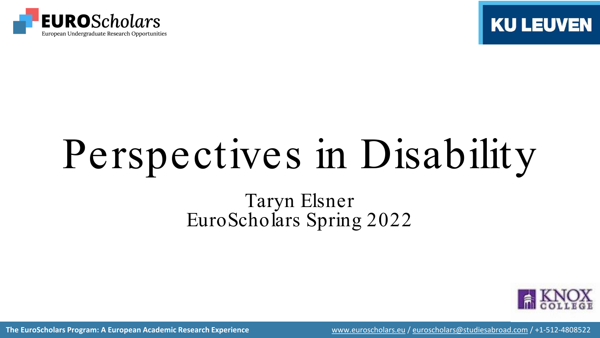



# Perspectives in Disability

#### Taryn Elsner EuroScholars Spring 2022



**The EuroScholars Program: A European Academic Research Experience** [www.euroscholars.eu](http://www.euroscholars.eu/) / [euroscholars@studiesabroad.com](mailto:euroscholars@studiesabroad.com) / +1-512-4808522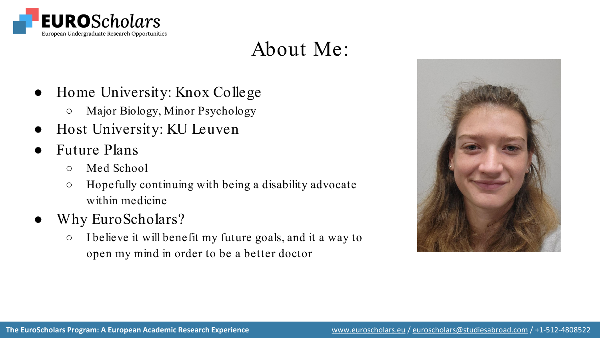

## About Me:

- Home University: Knox College
	- Major Biology, Minor Psychology
- Host University: KU Leuven
- **Future Plans** 
	- Med School
	- Hopefully continuing with being a disability advocate within medicine
- Why EuroScholars?
	- I believe it will benefit my future goals, and it a way to open my mind in order to be a better doctor

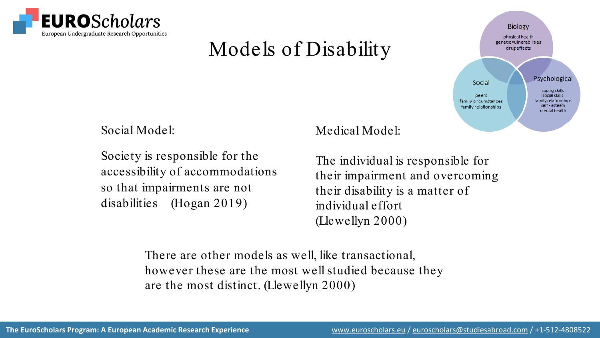

# Models of Disability



Social Model:

Society is responsible for the accessibility of accommodations so that impairments are not disabilities (Hogan 2019)

#### Medical Model:

The individual is responsible for their impairment and overcoming their disability is a matter of individual effort (Llewellyn 2000)

There are other models as well, like transactional, however these are the most well studied because they are the most distinct. (Llewellyn 2000)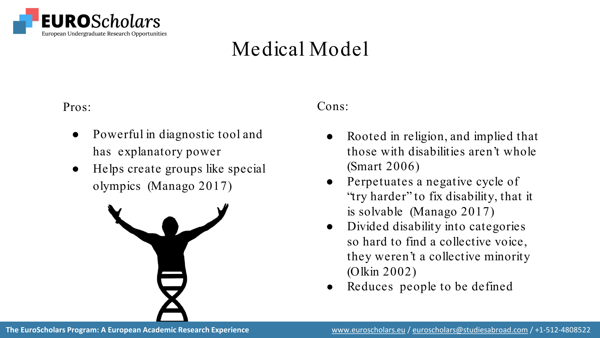

# Medical Model

Pros:

- Powerful in diagnostic tool and has explanatory power
- Helps create groups like special olympics (Manago 2017)



#### Cons:

- Rooted in religion, and implied that those with disabilities aren't whole (Smart 2006)
- Perpetuates a negative cycle of "try harder" to fix disability, that it is solvable (Manago 2017)
- Divided disability into categories so hard to find a collective voice, they weren't a collective minority (Olkin 2002)
- Reduces people to be defined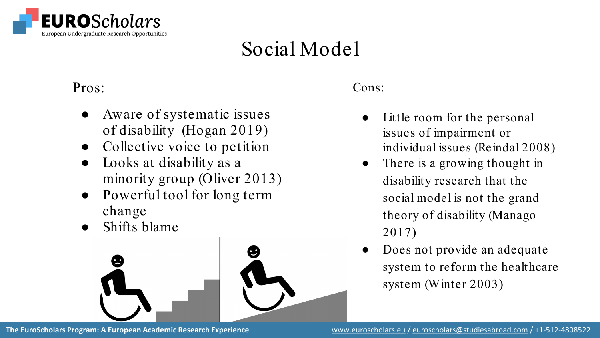

# Social Model

Pros:

- Aware of systematic issues of disability (Hogan 2019)
- Collective voice to petition
- Looks at disability as a minority group (Oliver 2013)
- Powerful tool for long term change
- Shifts blame



Cons:

- Little room for the personal issues of impairment or individual issues (Reindal 2008)
- There is a growing thought in disability research that the social model is not the grand theory of disability (Manago 2017)
- Does not provide an adequate system to reform the healthcare system (Winter 2003)

**The EuroScholars Program: A European Academic Research Experience** [www.euroscholars.eu](http://www.euroscholars.eu/) / [euroscholars@studiesabroad.com](mailto:euroscholars@studiesabroad.com) / +1-512-4808522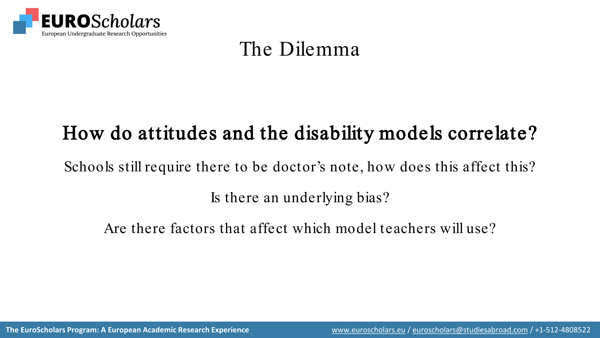

## The Dilemma

# How do attitudes and the disability models correlate?

Schools still require there to be doctor's note, how does this affect this?

Is there an underlying bias?

Are there factors that affect which model teachers will use?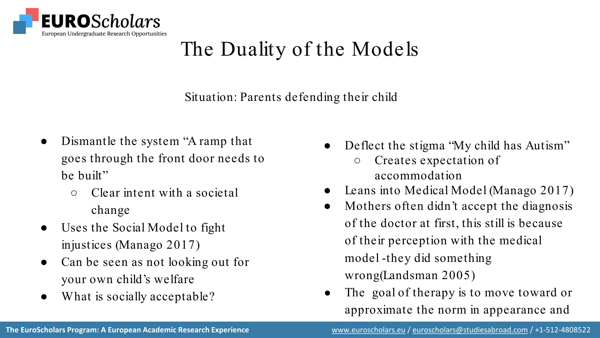

# The Duality of the Models

Situation: Parents defending their child

- Dismantle the system "A ramp that goes through the front door needs to be built"
	- Clear intent with a societal change
- Uses the Social Model to fight injustices (Manago 2017)
- Can be seen as not looking out for your own child's welfare
- What is socially acceptable?
- Deflect the stigma "My child has Autism"
	- Creates expectation of accommodation
- Leans into Medical Model (Manago 2017)
- Mothers often didn't accept the diagnosis of the doctor at first, this still is because of their perception with the medical model -they did something wrong(Landsman 2005)
- The goal of therapy is to move toward or approximate the norm in appearance and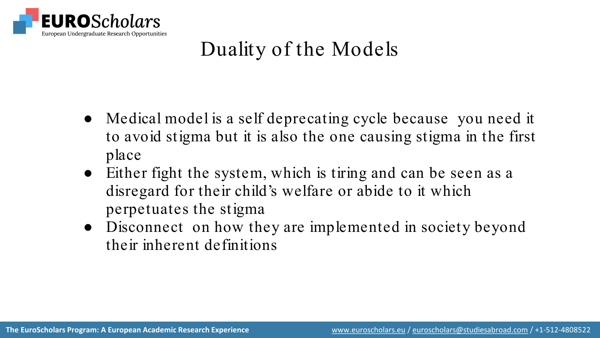

# Duality of the Models

- Medical model is a self deprecating cycle because you need it to avoid stigma but it is also the one causing stigma in the first place
- Either fight the system, which is tiring and can be seen as a disregard for their child's welfare or abide to it which perpetuates the stigma
- Disconnect on how they are implemented in society beyond their inherent definitions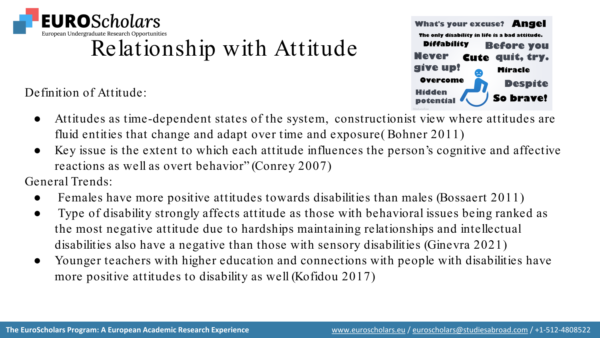

# Relationship with Attitude

Definition of Attitude:



- Attitudes as time-dependent states of the system, constructionist view where attitudes are fluid entities that change and adapt over time and exposure( Bohner 2011)
- Key issue is the extent to which each attitude influences the person's cognitive and affective reactions as well as overt behavior" (Conrey 2007)

General Trends:

- Females have more positive attitudes towards disabilities than males (Bossaert 2011)
- Type of disability strongly affects attitude as those with behavioral issues being ranked as the most negative attitude due to hardships maintaining relationships and intellectual disabilities also have a negative than those with sensory disabilities (Ginevra 2021)
- Younger teachers with higher education and connections with people with disabilities have more positive attitudes to disability as well (Kofidou 2017)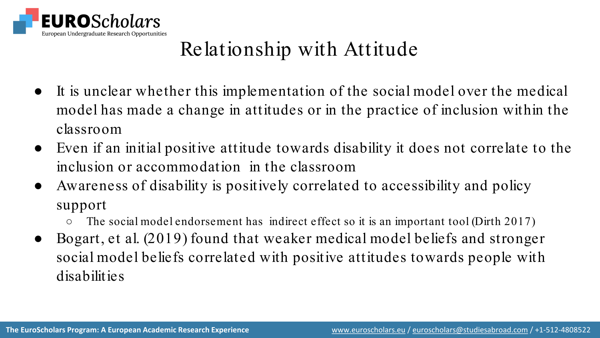

# Relationship with Attitude

- It is unclear whether this implementation of the social model over the medical model has made a change in attitudes or in the practice of inclusion within the classroom
- Even if an initial positive attitude towards disability it does not correlate to the inclusion or accommodation in the classroom
- Awareness of disability is positively correlated to accessibility and policy support
	- $\circ$  The social model endorsement has indirect effect so it is an important tool (Dirth 2017)
- Bogart, et al. (2019) found that weaker medical model beliefs and stronger social model beliefs correlated with positive attitudes towards people with disabilities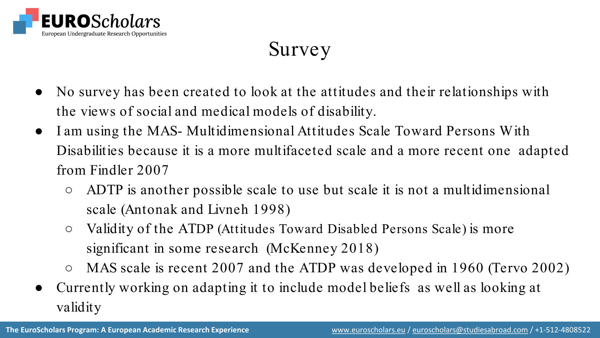

# Survey

- No survey has been created to look at the attitudes and their relationships with the views of social and medical models of disability.
- I am using the MAS- Multidimensional Attitudes Scale Toward Persons With Disabilities because it is a more multifaceted scale and a more recent one adapted from Findler 2007
	- ADTP is another possible scale to use but scale it is not a multidimensional scale (Antonak and Livneh 1998)
	- Validity of the ATDP (Attitudes Toward Disabled Persons Scale) is more significant in some research (McKenney 2018)
	- MAS scale is recent 2007 and the ATDP was developed in 1960 (Tervo 2002)
- Currently working on adapting it to include model beliefs as well as looking at validity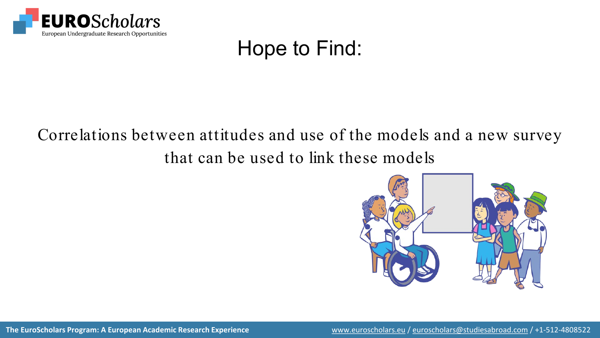

## Hope to Find:

#### Correlations between attitudes and use of the models and a new survey that can be used to link these models



**The EuroScholars Program: A European Academic Research Experience** [www.euroscholars.eu](http://www.euroscholars.eu/) / [euroscholars@studiesabroad.com](mailto:euroscholars@studiesabroad.com) / +1-512-4808522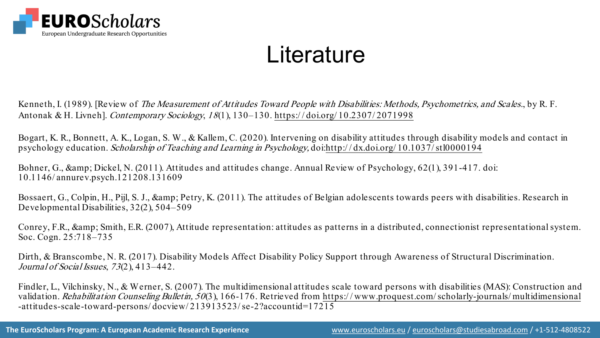

# **Literature**

Kenneth, I. (1989). [Review of *The Measurement of Attitudes Toward People with Disabilities: Methods, Psychometrics, and Scales., by R. F.* Antonak & H. Livneh]. Contemporary Sociology, 18(1), 130–130. [https:/ / doi.org/ 10.2307/ 2071998](https://doi.org/10.2307/2071998)

Bogart, K. R., Bonnett, A. K., Logan, S. W., & Kallem, C. (2020). Intervening on disability attitudes through disability models and contact in psychology education. Scholarship of Teaching and Learning in Psychology, doi[:http:/ / dx.doi.org/ 10.1037/ stl0000194](http://dx.doi.org/10.1037/stl0000194)

Bohner, G., & amp; Dickel, N. (2011). Attitudes and attitudes change. Annual Review of Psychology, 62(1), 391-417. doi: 10.1146/ annurev.psych.121208.131609

Bossaert, G., Colpin, H., Pijl, S. J., & amp; Petry, K. (2011). The attitudes of Belgian adolescents towards peers with disabilities. Research in Developmental Disabilities, 32(2), 504–509

Conrey, F.R., & amp; Smith, E.R. (2007), Attitude representation: attitudes as patterns in a distributed, connectionist representational system. Soc. Cogn. 25:718–735

Dirth, & Branscombe, N. R. (2017). Disability Models Affect Disability Policy Support through Awareness of Structural Discrimination. Journal of Social Issues, 73(2), 413-442.

Findler, L., Vilchinsky, N., & Werner, S. (2007). The multidimensional attitudes scale toward persons with disabilities (MAS): Construction and validation. Rehabilitation Counseling Bulletin, 50(3), 166-176. Retrieved from https://www.proquest.com/scholarly-journals/multidimensional -attitudes-scale-toward-persons/ docview/ 213913523/ se-2?accountid=17215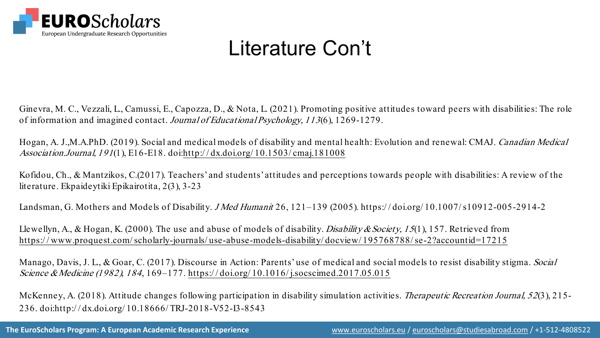

# Literature Con't

Ginevra, M. C., Vezzali, L., Camussi, E., Capozza, D., & Nota, L. (2021). Promoting positive attitudes toward peers with disabilities: The role of information and imagined contact. Journal of Educational Psychology, 113(6), 1269-1279.

Hogan, A. J.,M.A.PhD. (2019). Social and medical models of disability and mental health: Evolution and renewal: CMAJ. Canadian Medical Association.Journal, 191(1), E16-E18. doi:[http:/ / dx.doi.org/ 10.1503/ cmaj.181008](http://dx.doi.org/10.1503/cmaj.181008)

Kofidou, Ch., & Mantzikos, C.(2017). Teachers' and students' attitudes and perceptions towards people with disabilities: A review of the literature. Ekpaideytiki Epikairotita, 2(3), 3-23

Landsman, G. Mothers and Models of Disability. *J Med Humanit* 26, 121–139 (2005). https://doi.org/10.1007/s10912-005-2914-2

Llewellyn, A., & Hogan, K. (2000). The use and abuse of models of disability. *Disability & Society, 15*(1), 157. Retrieved from [https:/ / www.proquest.com/ scholarly-journals/ use-abuse-models-disability/ docview/ 195768788/ se-2?accountid=17215](https://www.proquest.com/scholarly-journals/use-abuse-models-disability/docview/195768788/se-2?accountid=17215)

Manago, Davis, J. L., & Goar, C. (2017). Discourse in Action: Parents' use of medical and social models to resist disability stigma. Social Science & Medicine (1982), 184, 169–177. https://doi.org/10.1016/j.socscimed.2017.05.015

McKenney, A. (2018). Attitude changes following participation in disability simulation activities. *Therapeutic Recreation Journal*, 52(3), 215-236. doi:http:/ / dx.doi.org/ 10.18666/ TRJ-2018-V52-I3-8543